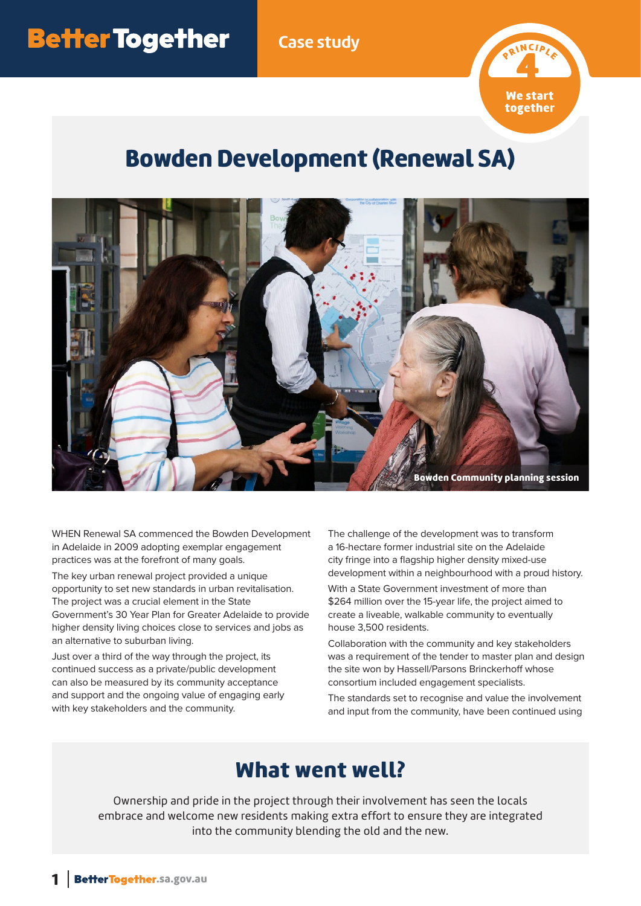**Case study**



## Bowden Development (Renewal SA)



WHEN Renewal SA commenced the Bowden Development in Adelaide in 2009 adopting exemplar engagement practices was at the forefront of many goals.

The key urban renewal project provided a unique opportunity to set new standards in urban revitalisation. The project was a crucial element in the State Government's 30 Year Plan for Greater Adelaide to provide higher density living choices close to services and jobs as an alternative to suburban living.

Just over a third of the way through the project, its continued success as a private/public development can also be measured by its community acceptance and support and the ongoing value of engaging early with key stakeholders and the community.

The challenge of the development was to transform a 16-hectare former industrial site on the Adelaide city fringe into a flagship higher density mixed-use development within a neighbourhood with a proud history.

With a State Government investment of more than \$264 million over the 15-year life, the project aimed to create a liveable, walkable community to eventually house 3,500 residents.

Collaboration with the community and key stakeholders was a requirement of the tender to master plan and design the site won by Hassell/Parsons Brinckerhoff whose consortium included engagement specialists.

The standards set to recognise and value the involvement and input from the community, have been continued using

## What went well?

Ownership and pride in the project through their involvement has seen the locals embrace and welcome new residents making extra effort to ensure they are integrated into the community blending the old and the new.